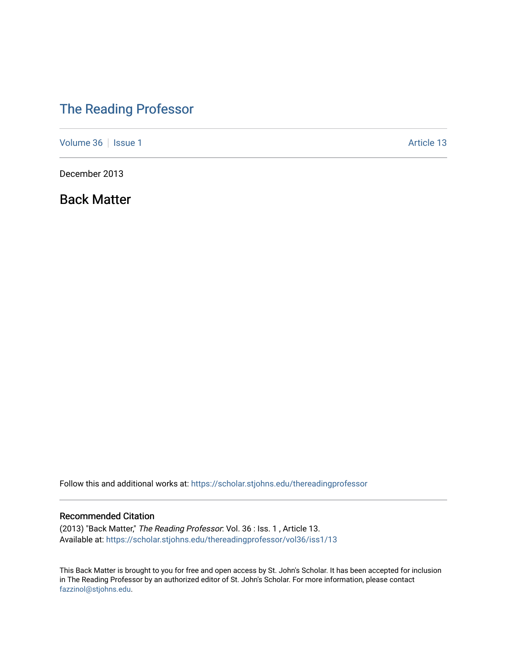## [The Reading Professor](https://scholar.stjohns.edu/thereadingprofessor)

[Volume 36](https://scholar.stjohns.edu/thereadingprofessor/vol36) | [Issue 1](https://scholar.stjohns.edu/thereadingprofessor/vol36/iss1) Article 13

December 2013

Back Matter

Follow this and additional works at: [https://scholar.stjohns.edu/thereadingprofessor](https://scholar.stjohns.edu/thereadingprofessor?utm_source=scholar.stjohns.edu%2Fthereadingprofessor%2Fvol36%2Fiss1%2F13&utm_medium=PDF&utm_campaign=PDFCoverPages) 

## Recommended Citation

(2013) "Back Matter," The Reading Professor: Vol. 36 : Iss. 1 , Article 13. Available at: [https://scholar.stjohns.edu/thereadingprofessor/vol36/iss1/13](https://scholar.stjohns.edu/thereadingprofessor/vol36/iss1/13?utm_source=scholar.stjohns.edu%2Fthereadingprofessor%2Fvol36%2Fiss1%2F13&utm_medium=PDF&utm_campaign=PDFCoverPages)

This Back Matter is brought to you for free and open access by St. John's Scholar. It has been accepted for inclusion in The Reading Professor by an authorized editor of St. John's Scholar. For more information, please contact [fazzinol@stjohns.edu](mailto:fazzinol@stjohns.edu).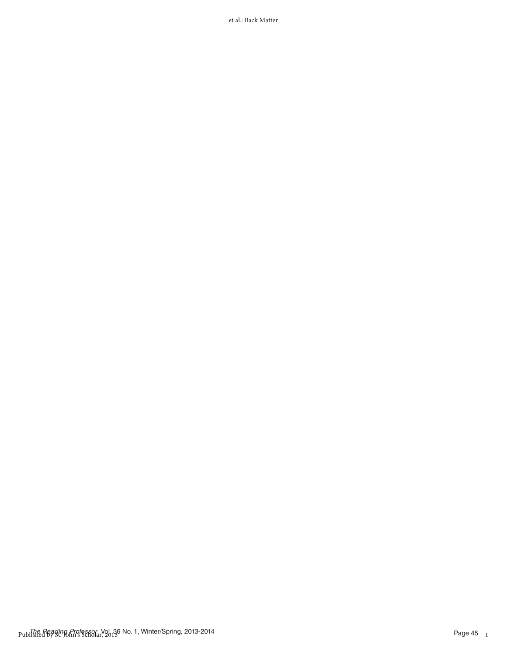et al.: Back Matter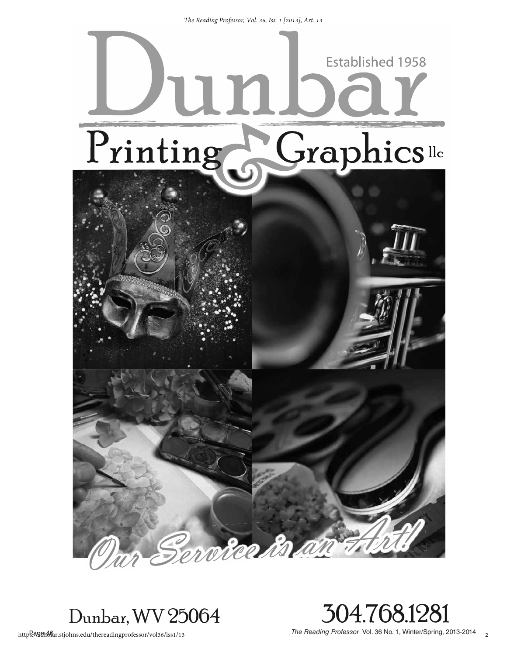





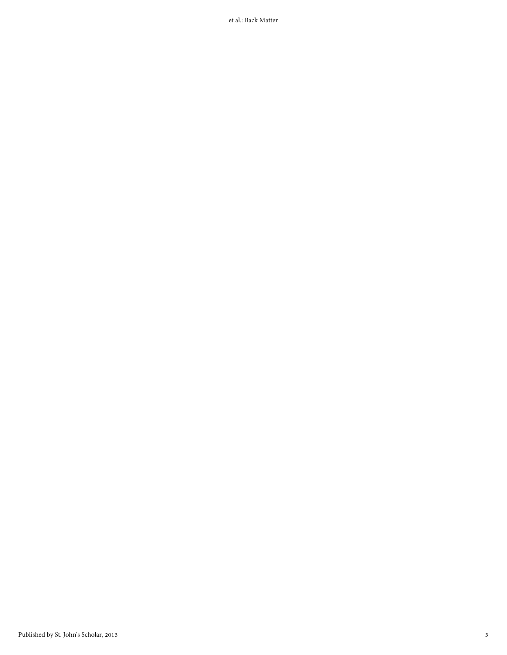et al.: Back Matter